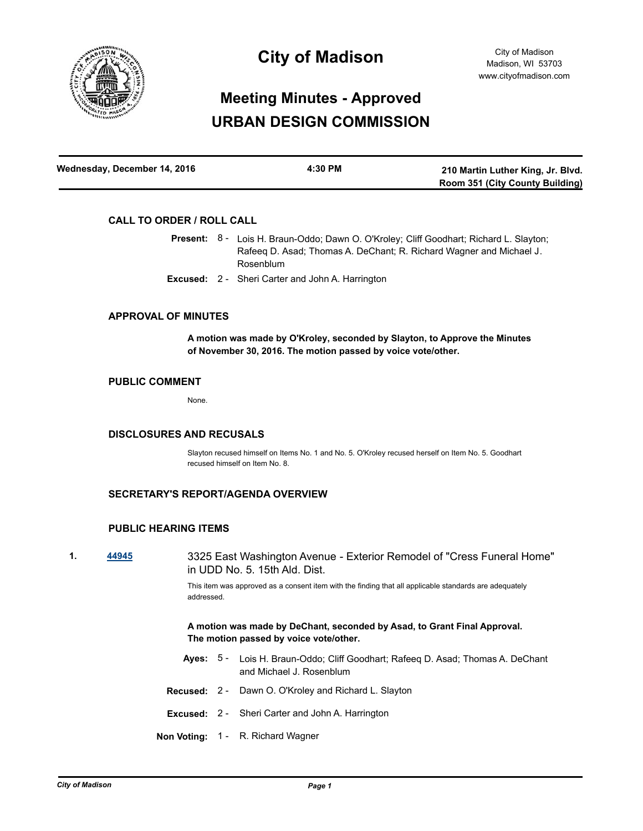

# **City of Madison**

# **Meeting Minutes - Approved URBAN DESIGN COMMISSION**

| Wednesday, December 14, 2016 | 4:30 PM | 210 Martin Luther King, Jr. Blvd.      |
|------------------------------|---------|----------------------------------------|
|                              |         | <b>Room 351 (City County Building)</b> |

# **CALL TO ORDER / ROLL CALL**

Present: 8 - Lois H. Braun-Oddo; Dawn O. O'Kroley; Cliff Goodhart; Richard L. Slayton; Rafeeq D. Asad; Thomas A. DeChant; R. Richard Wagner and Michael J. Rosenblum

**Excused:** 2 - Sheri Carter and John A. Harrington

### **APPROVAL OF MINUTES**

**A motion was made by O'Kroley, seconded by Slayton, to Approve the Minutes of November 30, 2016. The motion passed by voice vote/other.**

# **PUBLIC COMMENT**

None.

#### **DISCLOSURES AND RECUSALS**

Slayton recused himself on Items No. 1 and No. 5. O'Kroley recused herself on Item No. 5. Goodhart recused himself on Item No. 8.

# **SECRETARY'S REPORT/AGENDA OVERVIEW**

#### **PUBLIC HEARING ITEMS**

**1. [44945](http://madison.legistar.com/gateway.aspx?m=l&id=/matter.aspx?key=49070)** 3325 East Washington Avenue - Exterior Remodel of "Cress Funeral Home" in UDD No. 5. 15th Ald. Dist.

> This item was approved as a consent item with the finding that all applicable standards are adequately addressed.

**A motion was made by DeChant, seconded by Asad, to Grant Final Approval. The motion passed by voice vote/other.**

- Ayes: 5 Lois H. Braun-Oddo; Cliff Goodhart; Rafeeq D. Asad; Thomas A. DeChant and Michael J. Rosenblum
- **Recused:** 2 Dawn O. O'Kroley and Richard L. Slayton
- **Excused:** 2 Sheri Carter and John A. Harrington
- **Non Voting:** 1 R. Richard Wagner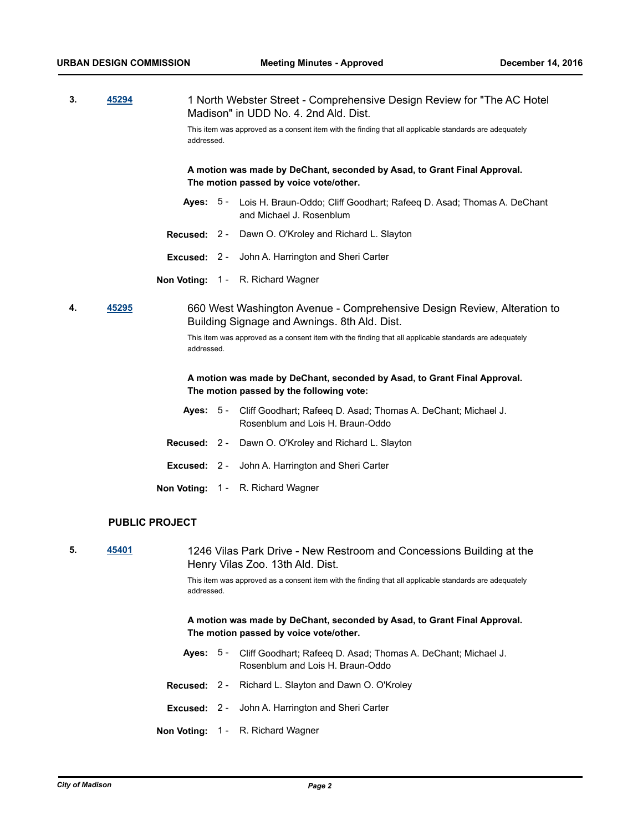|  | 45294 | 1 North Webster Street - Comprehensive Design Review for "The AC Hotel"<br>Madison" in UDD No. 4, 2nd Ald, Dist. |
|--|-------|------------------------------------------------------------------------------------------------------------------|
|  |       | This item was approved as a consent item with the finding that all applicable standards are adequately           |

**A motion was made by DeChant, seconded by Asad, to Grant Final Approval.** 

- Ayes: 5 Lois H. Braun-Oddo; Cliff Goodhart; Rafeeq D. Asad; Thomas A. DeChant and Michael J. Rosenblum
- **Recused:** 2 Dawn O. O'Kroley and Richard L. Slayton
- **Excused:** 2 John A. Harrington and Sheri Carter

**The motion passed by voice vote/other.**

**Non Voting:** 1 - R. Richard Wagner

addressed.

**4. [45295](http://madison.legistar.com/gateway.aspx?m=l&id=/matter.aspx?key=49410)** 660 West Washington Avenue - Comprehensive Design Review, Alteration to Building Signage and Awnings. 8th Ald. Dist.

> This item was approved as a consent item with the finding that all applicable standards are adequately addressed.

### **A motion was made by DeChant, seconded by Asad, to Grant Final Approval. The motion passed by the following vote:**

- Ayes: 5 Cliff Goodhart; Rafeeq D. Asad; Thomas A. DeChant; Michael J. Rosenblum and Lois H. Braun-Oddo
- **Recused:** 2 Dawn O. O'Kroley and Richard L. Slayton
- **Excused:** 2 John A. Harrington and Sheri Carter
- **Non Voting:** 1 R. Richard Wagner

### **PUBLIC PROJECT**

**5. [45401](http://madison.legistar.com/gateway.aspx?m=l&id=/matter.aspx?key=49510)** 1246 Vilas Park Drive - New Restroom and Concessions Building at the Henry Vilas Zoo. 13th Ald. Dist. This item was approved as a consent item with the finding that all applicable standards are adequately addressed. **A motion was made by DeChant, seconded by Asad, to Grant Final Approval. The motion passed by voice vote/other.** Ayes: 5 - Cliff Goodhart; Rafeeq D. Asad; Thomas A. DeChant; Michael J.

- Rosenblum and Lois H. Braun-Oddo
- **Recused:** 2 Richard L. Slayton and Dawn O. O'Kroley
- **Excused:** 2 John A. Harrington and Sheri Carter
- **Non Voting:** 1 R. Richard Wagner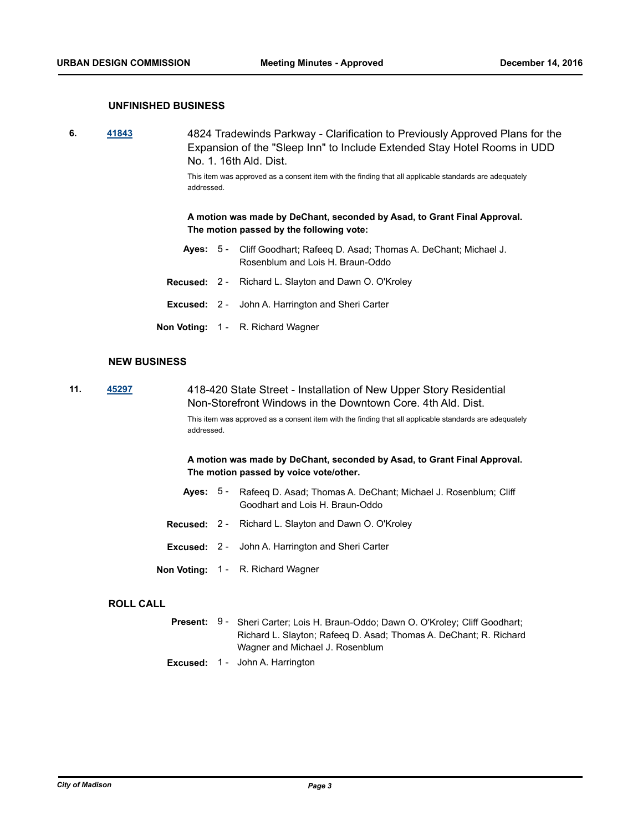### **UNFINISHED BUSINESS**

**6. [41843](http://madison.legistar.com/gateway.aspx?m=l&id=/matter.aspx?key=46185)** 4824 Tradewinds Parkway - Clarification to Previously Approved Plans for the Expansion of the "Sleep Inn" to Include Extended Stay Hotel Rooms in UDD No. 1. 16th Ald. Dist.

> This item was approved as a consent item with the finding that all applicable standards are adequately addressed.

**A motion was made by DeChant, seconded by Asad, to Grant Final Approval. The motion passed by the following vote:**

- Ayes: 5 Cliff Goodhart; Rafeeq D. Asad; Thomas A. DeChant; Michael J. Rosenblum and Lois H. Braun-Oddo
- **Recused:** 2 Richard L. Slayton and Dawn O. O'Kroley
- **Excused:** 2 John A. Harrington and Sheri Carter
- **Non Voting:** 1 R. Richard Wagner

#### **NEW BUSINESS**

**11. [45297](http://madison.legistar.com/gateway.aspx?m=l&id=/matter.aspx?key=49412)** 418-420 State Street - Installation of New Upper Story Residential Non-Storefront Windows in the Downtown Core. 4th Ald. Dist.

> This item was approved as a consent item with the finding that all applicable standards are adequately addressed.

**A motion was made by DeChant, seconded by Asad, to Grant Final Approval. The motion passed by voice vote/other.**

- Ayes: 5 Rafeeq D. Asad; Thomas A. DeChant; Michael J. Rosenblum; Cliff Goodhart and Lois H. Braun-Oddo
- **Recused:** 2 Richard L. Slayton and Dawn O. O'Kroley
- **Excused:** 2 John A. Harrington and Sheri Carter
- **Non Voting:** 1 R. Richard Wagner

#### **ROLL CALL**

- Present: 9 Sheri Carter; Lois H. Braun-Oddo; Dawn O. O'Kroley; Cliff Goodhart; Richard L. Slayton; Rafeeq D. Asad; Thomas A. DeChant; R. Richard Wagner and Michael J. Rosenblum
- **Excused:** 1 John A. Harrington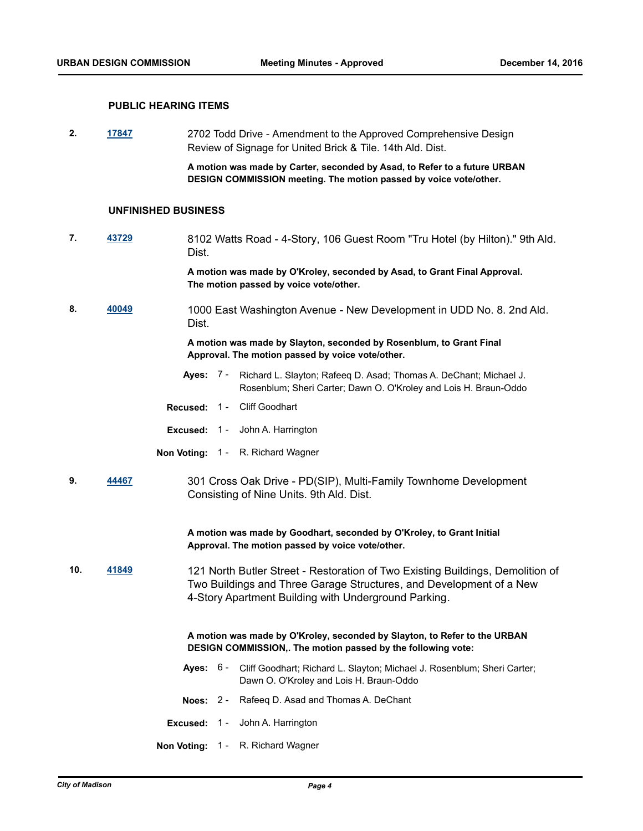#### **PUBLIC HEARING ITEMS**

**2. [17847](http://madison.legistar.com/gateway.aspx?m=l&id=/matter.aspx?key=19789)** 2702 Todd Drive - Amendment to the Approved Comprehensive Design Review of Signage for United Brick & Tile. 14th Ald. Dist.

> **A motion was made by Carter, seconded by Asad, to Refer to a future URBAN DESIGN COMMISSION meeting. The motion passed by voice vote/other.**

#### **UNFINISHED BUSINESS**

**7. [43729](http://madison.legistar.com/gateway.aspx?m=l&id=/matter.aspx?key=47935)** 8102 Watts Road - 4-Story, 106 Guest Room "Tru Hotel (by Hilton)." 9th Ald. Dist.

> **A motion was made by O'Kroley, seconded by Asad, to Grant Final Approval. The motion passed by voice vote/other.**

**8. [40049](http://madison.legistar.com/gateway.aspx?m=l&id=/matter.aspx?key=43593)** 1000 East Washington Avenue - New Development in UDD No. 8. 2nd Ald. Dist.

> **A motion was made by Slayton, seconded by Rosenblum, to Grant Final Approval. The motion passed by voice vote/other.**

- **Ayes:** Richard L. Slayton; Rafeeq D. Asad; Thomas A. DeChant; Michael J. Rosenblum; Sheri Carter; Dawn O. O'Kroley and Lois H. Braun-Oddo Ayes: 7 -
- **Recused:** 1 Cliff Goodhart
- **Excused:** 1 John A. Harrington
- **Non Voting:** 1 R. Richard Wagner
- **9. [44467](http://madison.legistar.com/gateway.aspx?m=l&id=/matter.aspx?key=48637)** 301 Cross Oak Drive PD(SIP), Multi-Family Townhome Development Consisting of Nine Units. 9th Ald. Dist.

**A motion was made by Goodhart, seconded by O'Kroley, to Grant Initial Approval. The motion passed by voice vote/other.**

**10. [41849](http://madison.legistar.com/gateway.aspx?m=l&id=/matter.aspx?key=46191)** 121 North Butler Street - Restoration of Two Existing Buildings, Demolition of Two Buildings and Three Garage Structures, and Development of a New 4-Story Apartment Building with Underground Parking.

> **A motion was made by O'Kroley, seconded by Slayton, to Refer to the URBAN DESIGN COMMISSION,. The motion passed by the following vote:**

- Ayes: 6 Cliff Goodhart; Richard L. Slayton; Michael J. Rosenblum; Sheri Carter; Dawn O. O'Kroley and Lois H. Braun-Oddo
- **Noes:** 2 Rafeeq D. Asad and Thomas A. DeChant
- **Excused:** 1 John A. Harrington
- **Non Voting:** 1 R. Richard Wagner